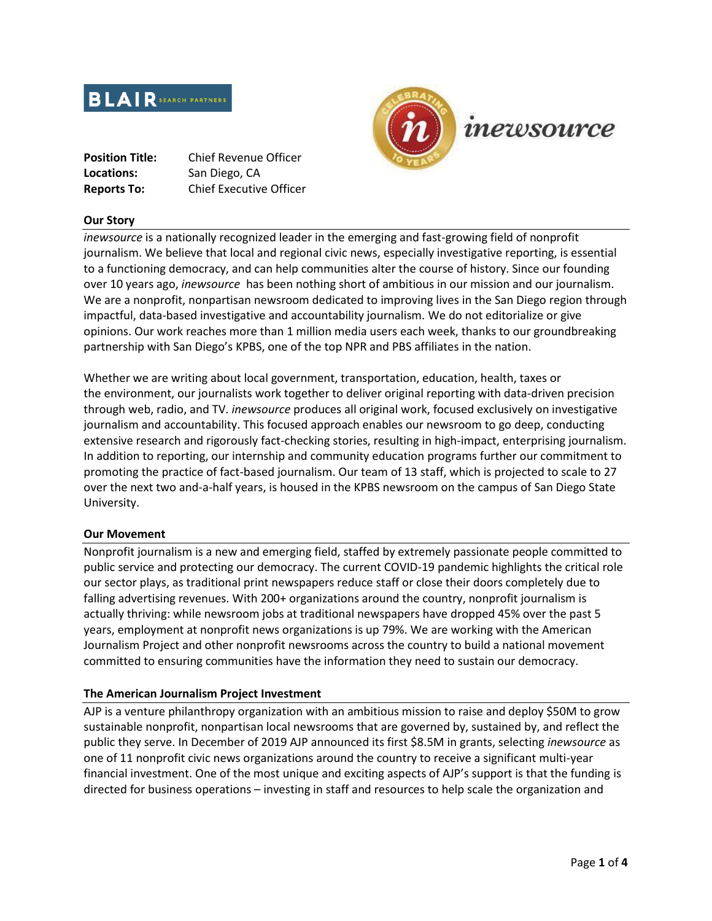

| <b>Position Title:</b> | <b>Chief Revenue Officer</b>   |
|------------------------|--------------------------------|
| Locations:             | San Diego, CA                  |
| <b>Reports To:</b>     | <b>Chief Executive Officer</b> |

#### **Our Story**

*inewsource* is a nationally recognized leader in the emerging and fast-growing field of nonprofit journalism. We believe that local and regional civic news, especially investigative reporting, is essential to a functioning democracy, and can help communities alter the course of history. Since our founding over 10 years ago, *inewsource* has been nothing short of ambitious in our mission and our journalism. We are a nonprofit, nonpartisan newsroom dedicated to improving lives in the San Diego region through impactful, data-based investigative and accountability journalism. We do not editorialize or give opinions. Our work reaches more than 1 million media users each week, thanks to our groundbreaking partnership with San Diego's KPBS, one of the top NPR and PBS affiliates in the nation.

Whether we are writing about local government, transportation, education, health, taxes or the environment, our journalists work together to deliver original reporting with data-driven precision through web, radio, and TV. *inewsource* produces all original work, focused exclusively on investigative journalism and accountability. This focused approach enables our newsroom to go deep, conducting extensive research and rigorously fact-checking stories, resulting in high-impact, enterprising journalism. In addition to reporting, our internship and community education programs further our commitment to promoting the practice of fact-based journalism. Our team of 13 staff, which is projected to scale to 27 over the next two and-a-half years, is housed in the KPBS newsroom on the campus of San Diego State University.

#### **Our Movement**

Nonprofit journalism is a new and emerging field, staffed by extremely passionate people committed to public service and protecting our democracy. The current COVID-19 pandemic highlights the critical role our sector plays, as traditional print newspapers reduce staff or close their doors completely due to falling advertising revenues. With 200+ organizations around the country, nonprofit journalism is actually thriving: while newsroom jobs at traditional newspapers have dropped 45% over the past 5 years, employment at nonprofit news organizations is up 79%. We are working with the American Journalism Project and other nonprofit newsrooms across the country to build a national movement committed to ensuring communities have the information they need to sustain our democracy.

# **The American Journalism Project Investment**

AJP is a venture philanthropy organization with an ambitious mission to raise and deploy \$50M to grow sustainable nonprofit, nonpartisan local newsrooms that are governed by, sustained by, and reflect the public they serve. In December of 2019 AJP announced its first \$8.5M in grants, selecting *inewsource* as one of 11 nonprofit civic news organizations around the country to receive a significant multi-year financial investment. One of the most unique and exciting aspects of AJP's support is that the funding is directed for business operations – investing in staff and resources to help scale the organization and

inewsource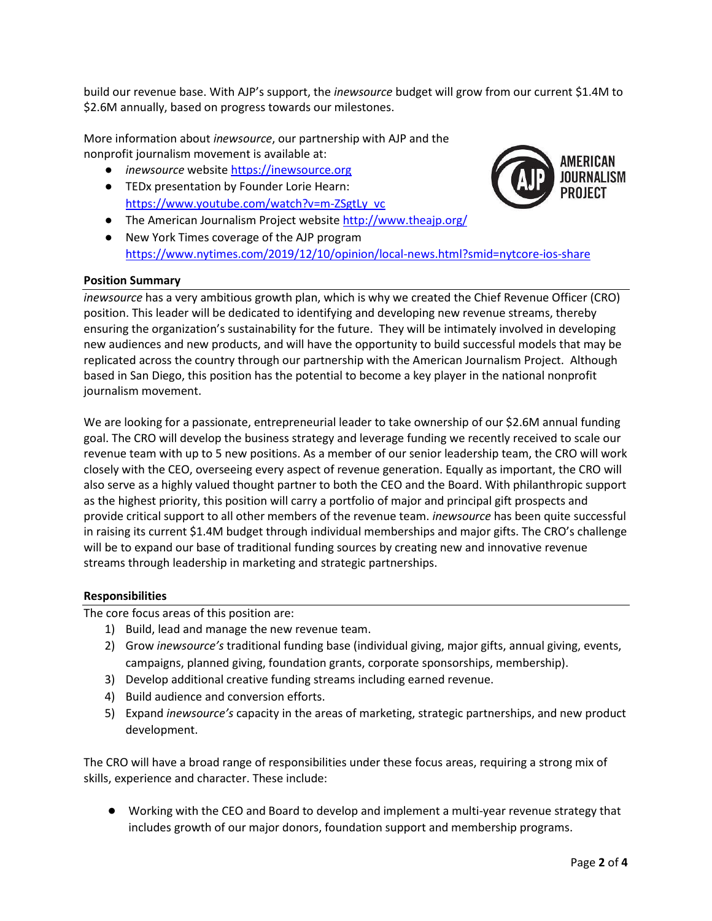build our revenue base. With AJP's support, the *inewsource* budget will grow from our current \$1.4M to \$2.6M annually, based on progress towards our milestones.

More information about *inewsource*, our partnership with AJP and the nonprofit journalism movement is available at:

- *inewsource* websit[e https://inewsource.org](https://inewsource.org/)
- TEDx presentation by Founder Lorie Hearn: [https://www.youtube.com/watch?v=m-ZSgtLy\\_vc](https://www.youtube.com/watch?v=m-ZSgtLy_vc)
- The American Journalism Project websit[e http://www.theajp.org/](http://www.theajp.org/)
- New York Times coverage of the AJP program <https://www.nytimes.com/2019/12/10/opinion/local-news.html?smid=nytcore-ios-share>

# **Position Summary**

*inewsource* has a very ambitious growth plan, which is why we created the Chief Revenue Officer (CRO) position. This leader will be dedicated to identifying and developing new revenue streams, thereby ensuring the organization's sustainability for the future. They will be intimately involved in developing new audiences and new products, and will have the opportunity to build successful models that may be replicated across the country through our partnership with the American Journalism Project. Although based in San Diego, this position has the potential to become a key player in the national nonprofit journalism movement.

We are looking for a passionate, entrepreneurial leader to take ownership of our \$2.6M annual funding goal. The CRO will develop the business strategy and leverage funding we recently received to scale our revenue team with up to 5 new positions. As a member of our senior leadership team, the CRO will work closely with the CEO, overseeing every aspect of revenue generation. Equally as important, the CRO will also serve as a highly valued thought partner to both the CEO and the Board. With philanthropic support as the highest priority, this position will carry a portfolio of major and principal gift prospects and provide critical support to all other members of the revenue team. *inewsource* has been quite successful in raising its current \$1.4M budget through individual memberships and major gifts. The CRO's challenge will be to expand our base of traditional funding sources by creating new and innovative revenue streams through leadership in marketing and strategic partnerships.

# **Responsibilities**

The core focus areas of this position are:

- 1) Build, lead and manage the new revenue team.
- 2) Grow *inewsource's* traditional funding base (individual giving, major gifts, annual giving, events, campaigns, planned giving, foundation grants, corporate sponsorships, membership).
- 3) Develop additional creative funding streams including earned revenue.
- 4) Build audience and conversion efforts.
- 5) Expand *inewsource's* capacity in the areas of marketing, strategic partnerships, and new product development.

The CRO will have a broad range of responsibilities under these focus areas, requiring a strong mix of skills, experience and character. These include:

● Working with the CEO and Board to develop and implement a multi-year revenue strategy that includes growth of our major donors, foundation support and membership programs.

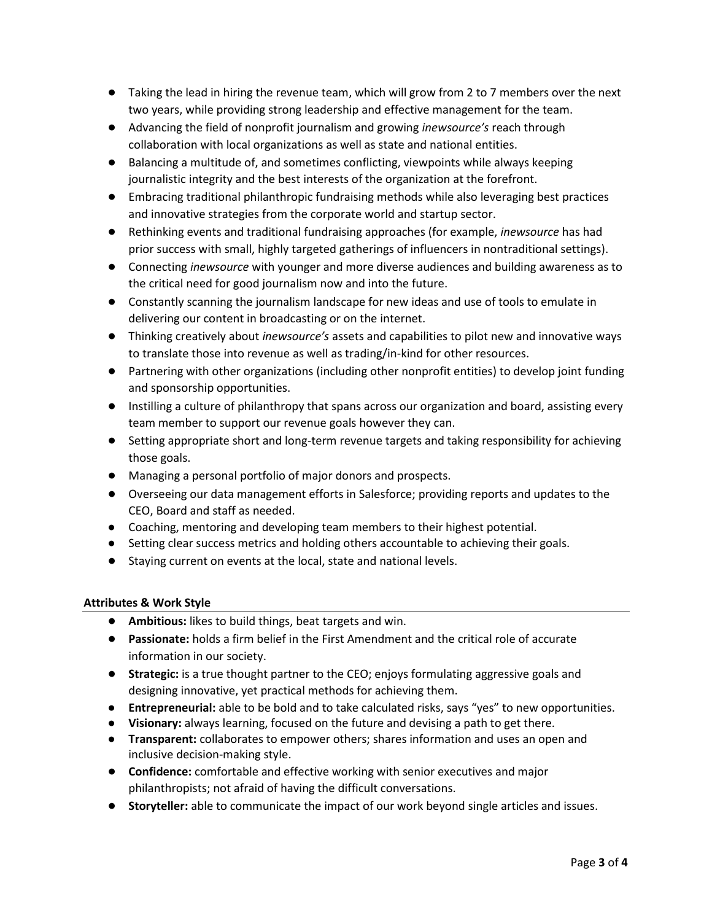- Taking the lead in hiring the revenue team, which will grow from 2 to 7 members over the next two years, while providing strong leadership and effective management for the team.
- Advancing the field of nonprofit journalism and growing *inewsource's* reach through collaboration with local organizations as well as state and national entities.
- Balancing a multitude of, and sometimes conflicting, viewpoints while always keeping journalistic integrity and the best interests of the organization at the forefront.
- Embracing traditional philanthropic fundraising methods while also leveraging best practices and innovative strategies from the corporate world and startup sector.
- Rethinking events and traditional fundraising approaches (for example, *inewsource* has had prior success with small, highly targeted gatherings of influencers in nontraditional settings).
- Connecting *inewsource* with younger and more diverse audiences and building awareness as to the critical need for good journalism now and into the future.
- Constantly scanning the journalism landscape for new ideas and use of tools to emulate in delivering our content in broadcasting or on the internet.
- Thinking creatively about *inewsource's* assets and capabilities to pilot new and innovative ways to translate those into revenue as well as trading/in-kind for other resources.
- Partnering with other organizations (including other nonprofit entities) to develop joint funding and sponsorship opportunities.
- Instilling a culture of philanthropy that spans across our organization and board, assisting every team member to support our revenue goals however they can.
- Setting appropriate short and long-term revenue targets and taking responsibility for achieving those goals.
- Managing a personal portfolio of major donors and prospects.
- Overseeing our data management efforts in Salesforce; providing reports and updates to the CEO, Board and staff as needed.
- Coaching, mentoring and developing team members to their highest potential.
- Setting clear success metrics and holding others accountable to achieving their goals.
- Staying current on events at the local, state and national levels.

# **Attributes & Work Style**

- **Ambitious:** likes to build things, beat targets and win.
- **Passionate:** holds a firm belief in the First Amendment and the critical role of accurate information in our society.
- **Strategic:** is a true thought partner to the CEO; enjoys formulating aggressive goals and designing innovative, yet practical methods for achieving them.
- **Entrepreneurial:** able to be bold and to take calculated risks, says "yes" to new opportunities.
- **Visionary:** always learning, focused on the future and devising a path to get there.
- **Transparent:** collaborates to empower others; shares information and uses an open and inclusive decision-making style.
- **Confidence:** comfortable and effective working with senior executives and major philanthropists; not afraid of having the difficult conversations.
- **Storyteller:** able to communicate the impact of our work beyond single articles and issues.